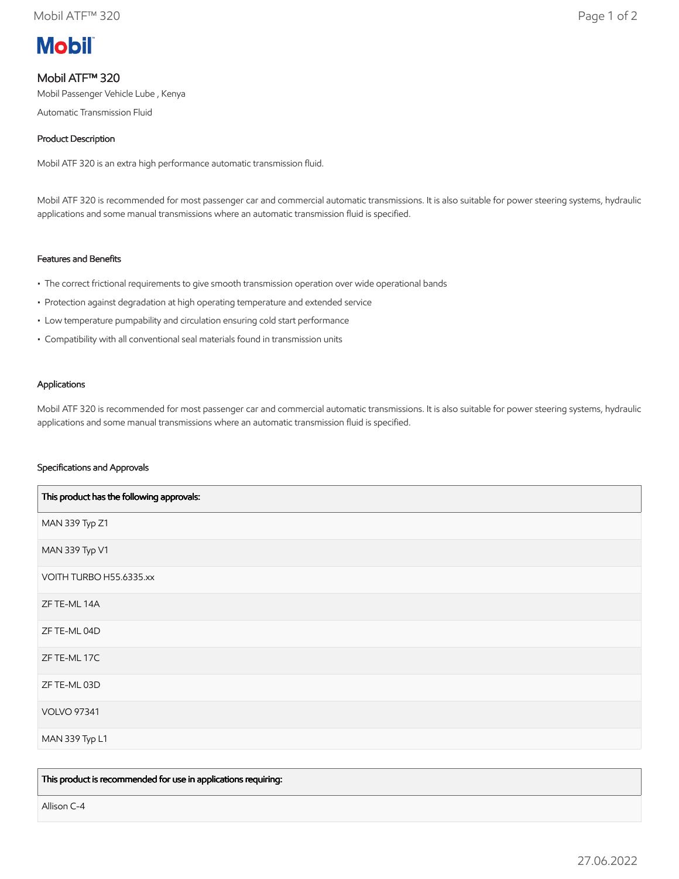# **Mobil**

# Mobil ATF™ 320

Mobil Passenger Vehicle Lube , Kenya

Automatic Transmission Fluid

# Product Description

Mobil ATF 320 is an extra high performance automatic transmission fluid.

Mobil ATF 320 is recommended for most passenger car and commercial automatic transmissions. It is also suitable for power steering systems, hydraulic applications and some manual transmissions where an automatic transmission fluid is specified.

# Features and Benefits

- The correct frictional requirements to give smooth transmission operation over wide operational bands
- Protection against degradation at high operating temperature and extended service
- Low temperature pumpability and circulation ensuring cold start performance
- Compatibility with all conventional seal materials found in transmission units

### Applications

Mobil ATF 320 is recommended for most passenger car and commercial automatic transmissions. It is also suitable for power steering systems, hydraulic applications and some manual transmissions where an automatic transmission fluid is specified.

# Specifications and Approvals

| This product has the following approvals: |
|-------------------------------------------|
| MAN 339 Typ Z1                            |
| MAN 339 Typ V1                            |
| VOITH TURBO H55.6335.xx                   |
| ZF TE-ML 14A                              |
| ZF TE-ML 04D                              |
| ZF TE-ML 17C                              |
| ZF TE-ML 03D                              |
| <b>VOLVO 97341</b>                        |
| MAN 339 Typ L1                            |

This product is recommended for use in applications requiring:

Allison C-4